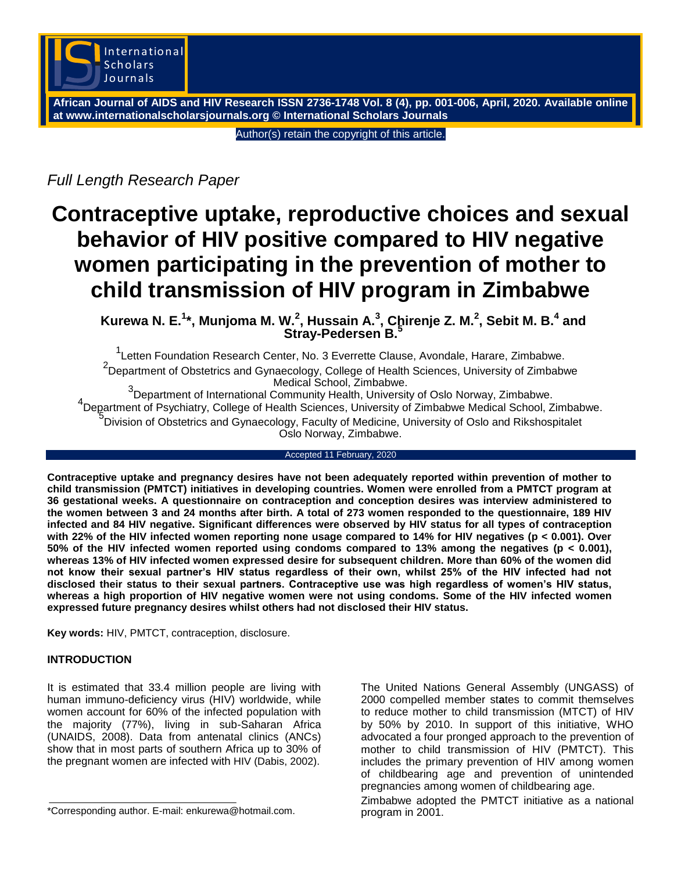

**African Journal of AIDS and HIV Research ISSN 2736-1748 Vol. 8 (4), pp. 001-006, April, 2020. Available online at www.internationalscholarsjournals.org © International Scholars Journals**

Author(s) retain the copyright of this article.

*Full Length Research Paper*

# **Contraceptive uptake, reproductive choices and sexual behavior of HIV positive compared to HIV negative women participating in the prevention of mother to child transmission of HIV program in Zimbabwe**

**Kurewa N. E.<sup>1</sup> \*, Munjoma M. W.<sup>2</sup> , Hussain A.<sup>3</sup> , Chirenje Z. M.<sup>2</sup> , Sebit M. B.<sup>4</sup> and Stray-Pedersen B.<sup>5</sup>**

<sup>1</sup>Letten Foundation Research Center, No. 3 Everrette Clause, Avondale, Harare, Zimbabwe. <sup>2</sup>Department of Obstetrics and Gynaecology, College of Health Sciences, University of Zimbabwe Medical School, Zimbabwe.<br><sup>3</sup> Department of International Community Unclub, University

Department of International Community Health, University of Oslo Norway, Zimbabwe. <sup>4</sup> Department of Psychiatry, College of Health Sciences, University of Zimbabwe Medical School, Zimbabwe. 5 Division of Obstetrics and Gynaecology, Faculty of Medicine, University of Oslo and Rikshospitalet Oslo Norway, Zimbabwe.

## Accepted 11 February, 2020

**Contraceptive uptake and pregnancy desires have not been adequately reported within prevention of mother to child transmission (PMTCT) initiatives in developing countries. Women were enrolled from a PMTCT program at 36 gestational weeks. A questionnaire on contraception and conception desires was interview administered to the women between 3 and 24 months after birth. A total of 273 women responded to the questionnaire, 189 HIV infected and 84 HIV negative. Significant differences were observed by HIV status for all types of contraception with 22% of the HIV infected women reporting none usage compared to 14% for HIV negatives (p < 0.001). Over 50% of the HIV infected women reported using condoms compared to 13% among the negatives (p < 0.001), whereas 13% of HIV infected women expressed desire for subsequent children. More than 60% of the women did not know their sexual partner's HIV status regardless of their own, whilst 25% of the HIV infected had not disclosed their status to their sexual partners. Contraceptive use was high regardless of women's HIV status, whereas a high proportion of HIV negative women were not using condoms. Some of the HIV infected women expressed future pregnancy desires whilst others had not disclosed their HIV status.**

**Key words:** HIV, PMTCT, contraception, disclosure.

# **INTRODUCTION**

It is estimated that 33.4 million people are living with human immuno-deficiency virus (HIV) worldwide, while women account for 60% of the infected population with the majority (77%), living in sub-Saharan Africa (UNAIDS, 2008). Data from antenatal clinics (ANCs) show that in most parts of southern Africa up to 30% of the pregnant women are infected with HIV (Dabis, 2002).

\*Corresponding author. E-mail: enkurewa@hotmail.com.

The United Nations General Assembly (UNGASS) of 2000 compelled member st**a**tes to commit themselves to reduce mother to child transmission (MTCT) of HIV by 50% by 2010. In support of this initiative, WHO advocated a four pronged approach to the prevention of mother to child transmission of HIV (PMTCT). This includes the primary prevention of HIV among women of childbearing age and prevention of unintended pregnancies among women of childbearing age.

Zimbabwe adopted the PMTCT initiative as a national program in 2001.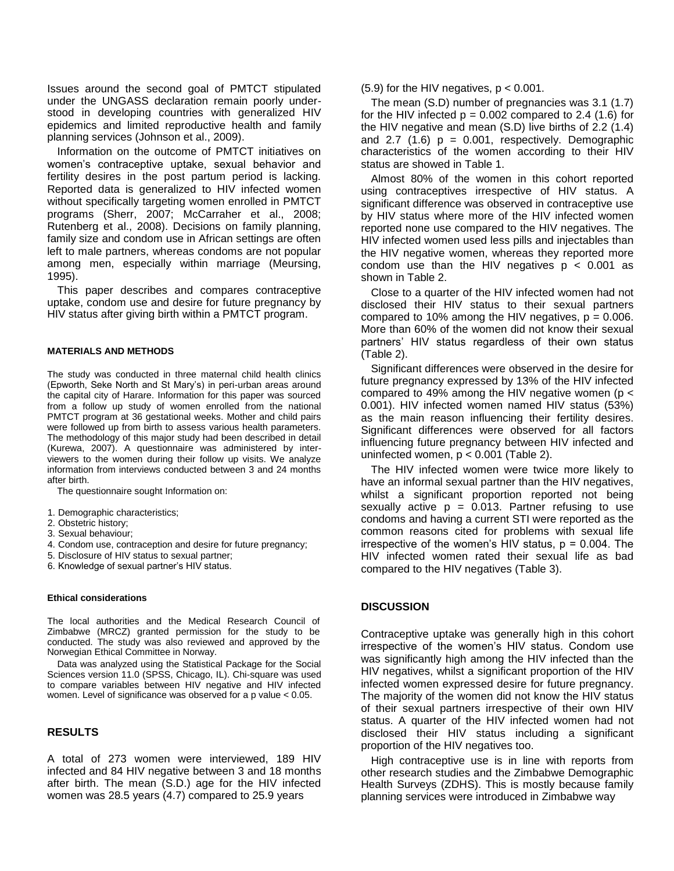Issues around the second goal of PMTCT stipulated under the UNGASS declaration remain poorly understood in developing countries with generalized HIV epidemics and limited reproductive health and family planning services (Johnson et al., 2009).

Information on the outcome of PMTCT initiatives on women's contraceptive uptake, sexual behavior and fertility desires in the post partum period is lacking. Reported data is generalized to HIV infected women without specifically targeting women enrolled in PMTCT programs (Sherr, 2007; McCarraher et al., 2008; Rutenberg et al., 2008). Decisions on family planning, family size and condom use in African settings are often left to male partners, whereas condoms are not popular among men, especially within marriage (Meursing, 1995).

This paper describes and compares contraceptive uptake, condom use and desire for future pregnancy by HIV status after giving birth within a PMTCT program.

#### **MATERIALS AND METHODS**

The study was conducted in three maternal child health clinics (Epworth, Seke North and St Mary's) in peri-urban areas around the capital city of Harare. Information for this paper was sourced from a follow up study of women enrolled from the national PMTCT program at 36 gestational weeks. Mother and child pairs were followed up from birth to assess various health parameters. The methodology of this major study had been described in detail (Kurewa, 2007). A questionnaire was administered by interviewers to the women during their follow up visits. We analyze information from interviews conducted between 3 and 24 months after birth.

The questionnaire sought Information on:

- 1. Demographic characteristics;
- 2. Obstetric history;
- 3. Sexual behaviour;
- 4. Condom use, contraception and desire for future pregnancy;
- 5. Disclosure of HIV status to sexual partner;
- 6. Knowledge of sexual partner's HIV status.

#### **Ethical considerations**

The local authorities and the Medical Research Council of Zimbabwe (MRCZ) granted permission for the study to be conducted. The study was also reviewed and approved by the Norwegian Ethical Committee in Norway.

Data was analyzed using the Statistical Package for the Social Sciences version 11.0 (SPSS, Chicago, IL). Chi-square was used to compare variables between HIV negative and HIV infected women. Level of significance was observed for a p value < 0.05.

# **RESULTS**

A total of 273 women were interviewed, 189 HIV infected and 84 HIV negative between 3 and 18 months after birth. The mean (S.D.) age for the HIV infected women was 28.5 years (4.7) compared to 25.9 years

### $(5.9)$  for the HIV negatives,  $p < 0.001$ .

The mean (S.D) number of pregnancies was 3.1 (1.7) for the HIV infected  $p = 0.002$  compared to 2.4 (1.6) for the HIV negative and mean (S.D) live births of 2.2 (1.4) and 2.7 (1.6)  $p = 0.001$ , respectively. Demographic characteristics of the women according to their HIV status are showed in Table 1.

Almost 80% of the women in this cohort reported using contraceptives irrespective of HIV status. A significant difference was observed in contraceptive use by HIV status where more of the HIV infected women reported none use compared to the HIV negatives. The HIV infected women used less pills and injectables than the HIV negative women, whereas they reported more condom use than the HIV negatives  $p < 0.001$  as shown in Table 2.

Close to a quarter of the HIV infected women had not disclosed their HIV status to their sexual partners compared to 10% among the HIV negatives,  $p = 0.006$ . More than 60% of the women did not know their sexual partners' HIV status regardless of their own status (Table 2).

Significant differences were observed in the desire for future pregnancy expressed by 13% of the HIV infected compared to 49% among the HIV negative women ( $p <$ 0.001). HIV infected women named HIV status (53%) as the main reason influencing their fertility desires. Significant differences were observed for all factors influencing future pregnancy between HIV infected and uninfected women,  $p < 0.001$  (Table 2).

The HIV infected women were twice more likely to have an informal sexual partner than the HIV negatives, whilst a significant proportion reported not being sexually active  $p = 0.013$ . Partner refusing to use condoms and having a current STI were reported as the common reasons cited for problems with sexual life irrespective of the women's HIV status,  $p = 0.004$ . The HIV infected women rated their sexual life as bad compared to the HIV negatives (Table 3).

#### **DISCUSSION**

Contraceptive uptake was generally high in this cohort irrespective of the women's HIV status. Condom use was significantly high among the HIV infected than the HIV negatives, whilst a significant proportion of the HIV infected women expressed desire for future pregnancy. The majority of the women did not know the HIV status of their sexual partners irrespective of their own HIV status. A quarter of the HIV infected women had not disclosed their HIV status including a significant proportion of the HIV negatives too.

High contraceptive use is in line with reports from other research studies and the Zimbabwe Demographic Health Surveys (ZDHS). This is mostly because family planning services were introduced in Zimbabwe way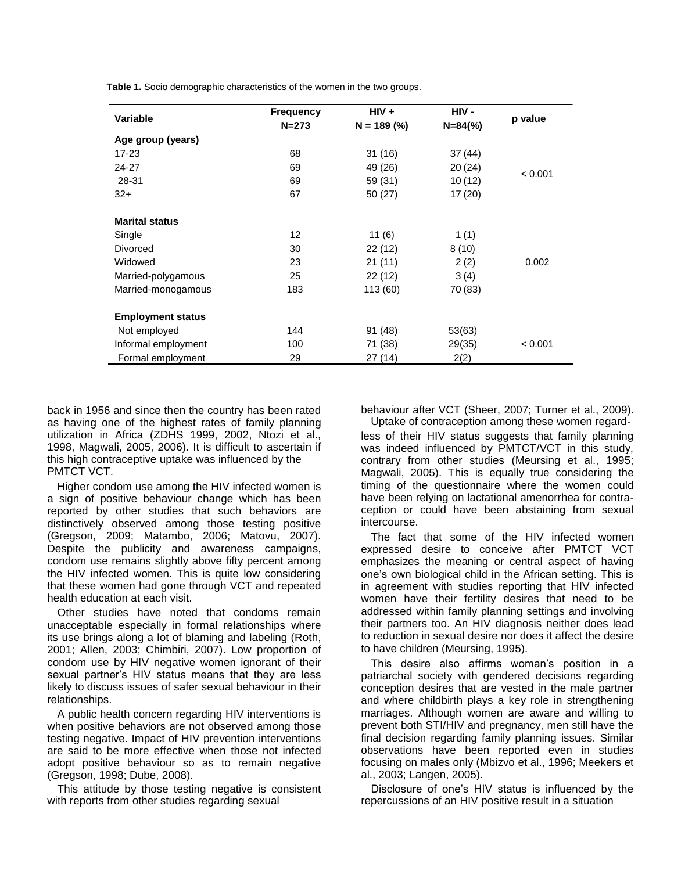| Table 1. Socio demographic characteristics of the women in the two groups. |  |  |
|----------------------------------------------------------------------------|--|--|
|----------------------------------------------------------------------------|--|--|

| <b>Variable</b>          | <b>Frequency</b> | $HIV +$       | HIV -        |         |  |
|--------------------------|------------------|---------------|--------------|---------|--|
|                          | $N = 273$        | $N = 189$ (%) | $N = 84$ (%) | p value |  |
| Age group (years)        |                  |               |              |         |  |
| 17-23                    | 68               | 31 (16)       | 37 (44)      |         |  |
| 24-27                    | 69               | 49 (26)       | 20(24)       |         |  |
| 28-31                    | 69               | 59 (31)       | 10(12)       | < 0.001 |  |
| $32+$                    | 67               | 50 (27)       | 17(20)       |         |  |
|                          |                  |               |              |         |  |
| <b>Marital status</b>    |                  |               |              |         |  |
| Single                   | 12               | 11(6)         | 1(1)         |         |  |
| Divorced                 | 30               | 22 (12)       | 8(10)        |         |  |
| Widowed                  | 23               | 21(11)        | 2(2)         | 0.002   |  |
| Married-polygamous       | 25               | 22(12)        | 3(4)         |         |  |
| Married-monogamous       | 183              | 113 (60)      | 70 (83)      |         |  |
|                          |                  |               |              |         |  |
| <b>Employment status</b> |                  |               |              |         |  |
| Not employed             | 144              | 91 (48)       | 53(63)       |         |  |
| Informal employment      | 100              | 71 (38)       | 29(35)       | < 0.001 |  |
| Formal employment        | 29               | 27 (14)       | 2(2)         |         |  |

back in 1956 and since then the country has been rated as having one of the highest rates of family planning utilization in Africa (ZDHS 1999, 2002, Ntozi et al., 1998, Magwali, 2005, 2006). It is difficult to ascertain if this high contraceptive uptake was influenced by the PMTCT VCT.

Higher condom use among the HIV infected women is a sign of positive behaviour change which has been reported by other studies that such behaviors are distinctively observed among those testing positive (Gregson, 2009; Matambo, 2006; Matovu, 2007). Despite the publicity and awareness campaigns, condom use remains slightly above fifty percent among the HIV infected women. This is quite low considering that these women had gone through VCT and repeated health education at each visit.

Other studies have noted that condoms remain unacceptable especially in formal relationships where its use brings along a lot of blaming and labeling (Roth, 2001; Allen, 2003; Chimbiri, 2007). Low proportion of condom use by HIV negative women ignorant of their sexual partner's HIV status means that they are less likely to discuss issues of safer sexual behaviour in their relationships.

A public health concern regarding HIV interventions is when positive behaviors are not observed among those testing negative. Impact of HIV prevention interventions are said to be more effective when those not infected adopt positive behaviour so as to remain negative (Gregson, 1998; Dube, 2008).

This attitude by those testing negative is consistent with reports from other studies regarding sexual

behaviour after VCT (Sheer, 2007; Turner et al., 2009).

Uptake of contraception among these women regardless of their HIV status suggests that family planning was indeed influenced by PMTCT/VCT in this study, contrary from other studies (Meursing et al., 1995; Magwali, 2005). This is equally true considering the timing of the questionnaire where the women could have been relying on lactational amenorrhea for contraception or could have been abstaining from sexual intercourse.

The fact that some of the HIV infected women expressed desire to conceive after PMTCT VCT emphasizes the meaning or central aspect of having one's own biological child in the African setting. This is in agreement with studies reporting that HIV infected women have their fertility desires that need to be addressed within family planning settings and involving their partners too. An HIV diagnosis neither does lead to reduction in sexual desire nor does it affect the desire to have children (Meursing, 1995).

This desire also affirms woman's position in a patriarchal society with gendered decisions regarding conception desires that are vested in the male partner and where childbirth plays a key role in strengthening marriages. Although women are aware and willing to prevent both STI/HIV and pregnancy, men still have the final decision regarding family planning issues. Similar observations have been reported even in studies focusing on males only (Mbizvo et al., 1996; Meekers et al., 2003; Langen, 2005).

Disclosure of one's HIV status is influenced by the repercussions of an HIV positive result in a situation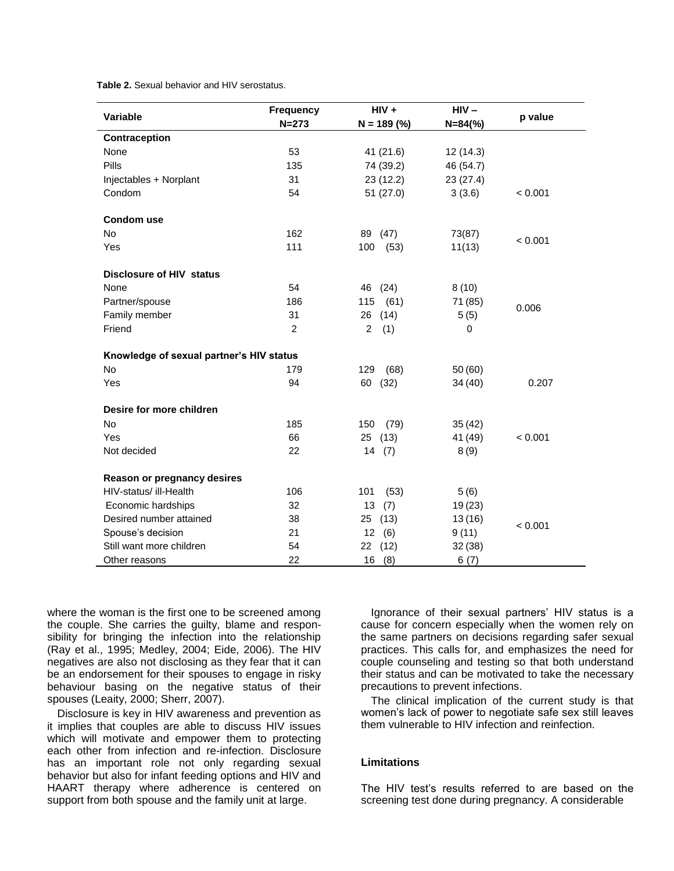**Table 2.** Sexual behavior and HIV serostatus.

| Variable                                 | <b>Frequency</b> | $HIV +$               | $HIV -$      |         |  |
|------------------------------------------|------------------|-----------------------|--------------|---------|--|
|                                          | $N = 273$        | $N = 189$ (%)         | $N = 84$ (%) | p value |  |
| Contraception                            |                  |                       |              |         |  |
| None                                     | 53               | 41 (21.6)             | 12 (14.3)    |         |  |
| <b>Pills</b>                             | 135              | 74 (39.2)             | 46 (54.7)    |         |  |
| Injectables + Norplant                   | 31               | 23 (12.2)             | 23 (27.4)    |         |  |
| Condom                                   | 54               | 51 (27.0)             | 3(3.6)       | < 0.001 |  |
| <b>Condom use</b>                        |                  |                       |              |         |  |
| <b>No</b>                                | 162              | 89 (47)               | 73(87)       | < 0.001 |  |
| Yes                                      | 111              | 100<br>(53)           | 11(13)       |         |  |
| <b>Disclosure of HIV status</b>          |                  |                       |              |         |  |
| None                                     | 54               | 46 (24)               | 8(10)        |         |  |
| Partner/spouse                           | 186              | (61)<br>115           | 71 (85)      |         |  |
| Family member                            | 31               | 26<br>(14)            | 5(5)         | 0.006   |  |
| Friend                                   | $\overline{2}$   | $\overline{2}$<br>(1) | $\mathbf 0$  |         |  |
| Knowledge of sexual partner's HIV status |                  |                       |              |         |  |
| No                                       | 179              | 129<br>(68)           | 50(60)       |         |  |
| Yes                                      | 94               | 60<br>(32)            | 34 (40)      | 0.207   |  |
| Desire for more children                 |                  |                       |              |         |  |
| <b>No</b>                                | 185              | (79)<br>150           | 35(42)       |         |  |
| Yes                                      | 66               | 25<br>(13)            | 41 (49)      | < 0.001 |  |
| Not decided                              | 22               | 14(7)                 | 8(9)         |         |  |
| Reason or pregnancy desires              |                  |                       |              |         |  |
| HIV-status/ ill-Health                   | 106              | 101<br>(53)           | 5(6)         |         |  |
| Economic hardships                       | 32               | 13<br>(7)             | 19(23)       |         |  |
| Desired number attained                  | 38               | (13)<br>25            | 13(16)       | < 0.001 |  |
| Spouse's decision                        | 21               | 12(6)                 | 9(11)        |         |  |
| Still want more children                 | 54               | (12)<br>22            | 32(38)       |         |  |
| Other reasons                            | 22               | 16<br>(8)             | 6(7)         |         |  |

where the woman is the first one to be screened among the couple. She carries the guilty, blame and responsibility for bringing the infection into the relationship (Ray et al., 1995; Medley, 2004; Eide, 2006). The HIV negatives are also not disclosing as they fear that it can be an endorsement for their spouses to engage in risky behaviour basing on the negative status of their spouses (Leaity, 2000; Sherr, 2007).

Disclosure is key in HIV awareness and prevention as it implies that couples are able to discuss HIV issues which will motivate and empower them to protecting each other from infection and re-infection. Disclosure has an important role not only regarding sexual behavior but also for infant feeding options and HIV and HAART therapy where adherence is centered on support from both spouse and the family unit at large.

Ignorance of their sexual partners' HIV status is a cause for concern especially when the women rely on the same partners on decisions regarding safer sexual practices. This calls for, and emphasizes the need for couple counseling and testing so that both understand their status and can be motivated to take the necessary precautions to prevent infections.

The clinical implication of the current study is that women's lack of power to negotiate safe sex still leaves them vulnerable to HIV infection and reinfection.

# **Limitations**

The HIV test's results referred to are based on the screening test done during pregnancy. A considerable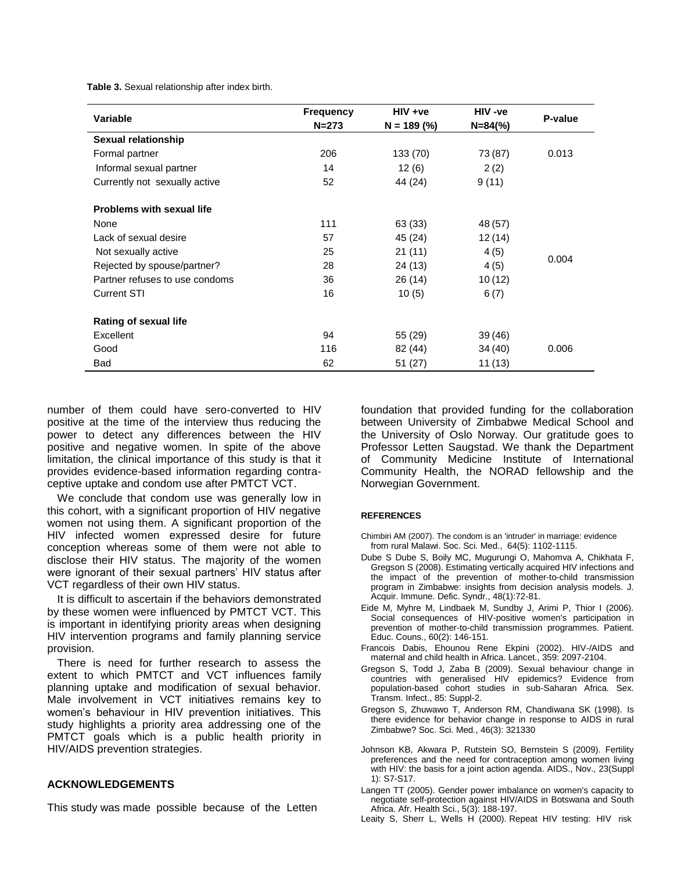**Table 3.** Sexual relationship after index birth.

| Variable                         | <b>Frequency</b> | $HIV +ve$     | HIV -ve      | P-value |
|----------------------------------|------------------|---------------|--------------|---------|
|                                  | $N = 273$        | $N = 189$ (%) | $N = 84$ (%) |         |
| <b>Sexual relationship</b>       |                  |               |              |         |
| Formal partner                   | 206              | 133 (70)      | 73 (87)      | 0.013   |
| Informal sexual partner          | 14               | 12(6)         | 2(2)         |         |
| Currently not sexually active    | 52               | 44 (24)       | 9(11)        |         |
| <b>Problems with sexual life</b> |                  |               |              |         |
| None                             | 111              | 63 (33)       | 48 (57)      |         |
| Lack of sexual desire            | 57               | 45 (24)       | 12(14)       | 0.004   |
| Not sexually active              | 25               | 21 (11)       | 4(5)         |         |
| Rejected by spouse/partner?      | 28               | 24 (13)       | 4(5)         |         |
| Partner refuses to use condoms   | 36               | 26 (14)       | 10(12)       |         |
| <b>Current STI</b>               | 16               | 10(5)         | 6(7)         |         |
| <b>Rating of sexual life</b>     |                  |               |              |         |
| Excellent                        | 94               | 55 (29)       | 39 (46)      |         |
| Good                             | 116              | 82 (44)       | 34 (40)      | 0.006   |
| <b>Bad</b>                       | 62               | 51 (27)       | 11(13)       |         |

number of them could have sero-converted to HIV positive at the time of the interview thus reducing the power to detect any differences between the HIV positive and negative women. In spite of the above limitation, the clinical importance of this study is that it provides evidence-based information regarding contraceptive uptake and condom use after PMTCT VCT.

We conclude that condom use was generally low in this cohort, with a significant proportion of HIV negative women not using them. A significant proportion of the HIV infected women expressed desire for future conception whereas some of them were not able to disclose their HIV status. The majority of the women were ignorant of their sexual partners' HIV status after VCT regardless of their own HIV status.

It is difficult to ascertain if the behaviors demonstrated by these women were influenced by PMTCT VCT. This is important in identifying priority areas when designing HIV intervention programs and family planning service provision.

There is need for further research to assess the extent to which PMTCT and VCT influences family planning uptake and modification of sexual behavior. Male involvement in VCT initiatives remains key to women's behaviour in HIV prevention initiatives. This study highlights a priority area addressing one of the PMTCT goals which is a public health priority in HIV/AIDS prevention strategies.

## **ACKNOWLEDGEMENTS**

This study was made possible because of the Letten

foundation that provided funding for the collaboration between University of Zimbabwe Medical School and the University of Oslo Norway. Our gratitude goes to Professor Letten Saugstad. We thank the Department of Community Medicine Institute of International Community Health, the NORAD fellowship and the Norwegian Government.

#### **REFERENCES**

- Chimbiri AM (2007). The condom is an 'intruder' in marriage: evidence from rural Malawi. Soc. Sci. Med., 64(5): 1102-1115.
- Dube S Dube S, Boily MC, Mugurungi O, Mahomva A, Chikhata F, Gregson S (2008). Estimating vertically acquired HIV infections and the impact of the prevention of mother-to-child transmission program in Zimbabwe: insights from decision analysis models. J. Acquir. Immune. Defic. Syndr., 48(1):72-81.
- Eide M, Myhre M, Lindbaek M, Sundby J, Arimi P, Thior I (2006). Social consequences of HIV-positive women's participation in prevention of mother-to-child transmission programmes. Patient. Educ. Couns., 60(2): 146-151.
- Francois Dabis, Ehounou Rene Ekpini (2002). HIV-/AIDS and maternal and child health in Africa. Lancet., 359: 2097-2104.
- Gregson S, Todd J, Zaba B (2009). Sexual behaviour change in countries with generalised HIV epidemics? Evidence from population-based cohort studies in sub-Saharan Africa. Sex. Transm. Infect., 85: Suppl-2.
- Gregson S, Zhuwawo T, Anderson RM, Chandiwana SK (1998). Is there evidence for behavior change in response to AIDS in rural Zimbabwe? Soc. Sci. Med*.*, 46(3): 321330
- Johnson KB, Akwara P, Rutstein SO, Bernstein S (2009). Fertility preferences and the need for contraception among women living with HIV: the basis for a joint action agenda. AIDS., Nov., 23(Suppl 1): S7-S17.
- Langen TT (2005). Gender power imbalance on women's capacity to negotiate self-protection against HIV/AIDS in Botswana and South Africa. Afr. Health Sci., 5(3): 188-197.
- Leaity S, Sherr L, Wells H (2000). Repeat HIV testing: HIV risk